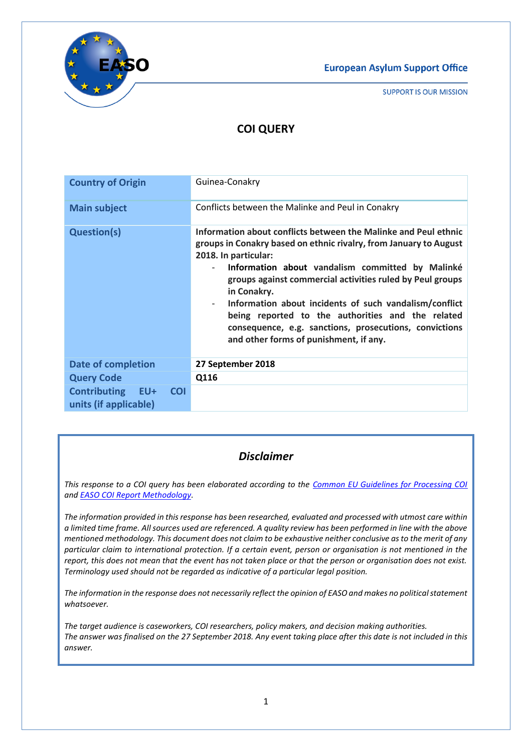**European Asylum Support Office** 



**SUPPORT IS OUR MISSION** 

# **COI QUERY**

| <b>Country of Origin</b>                                       | Guinea-Conakry                                                                                                                                                                                                                                                                                                                                                                                                                                                                                                            |
|----------------------------------------------------------------|---------------------------------------------------------------------------------------------------------------------------------------------------------------------------------------------------------------------------------------------------------------------------------------------------------------------------------------------------------------------------------------------------------------------------------------------------------------------------------------------------------------------------|
| <b>Main subject</b>                                            | Conflicts between the Malinke and Peul in Conakry                                                                                                                                                                                                                                                                                                                                                                                                                                                                         |
| <b>Question(s)</b>                                             | Information about conflicts between the Malinke and Peul ethnic<br>groups in Conakry based on ethnic rivalry, from January to August<br>2018. In particular:<br>Information about vandalism committed by Malinké<br>$\sim$<br>groups against commercial activities ruled by Peul groups<br>in Conakry.<br>Information about incidents of such vandalism/conflict<br>being reported to the authorities and the related<br>consequence, e.g. sanctions, prosecutions, convictions<br>and other forms of punishment, if any. |
| <b>Date of completion</b>                                      | 27 September 2018                                                                                                                                                                                                                                                                                                                                                                                                                                                                                                         |
| <b>Query Code</b>                                              | Q116                                                                                                                                                                                                                                                                                                                                                                                                                                                                                                                      |
| <b>Contributing EU+</b><br><b>COI</b><br>units (if applicable) |                                                                                                                                                                                                                                                                                                                                                                                                                                                                                                                           |

## *Disclaimer*

*This response to a COI query has been elaborated according to the [Common EU Guidelines for Processing COI](https://coi.easo.europa.eu/administration/easo/PLib/EU_Common_COI_Guidelines_2008_EN.pdf) an[d EASO COI Report Methodology.](https://coi.easo.europa.eu/administration/easo/PLib/EASO_COI_Report_Methodology.pdf)* 

*The information provided in this response has been researched, evaluated and processed with utmost care within a limited time frame. All sources used are referenced. A quality review has been performed in line with the above mentioned methodology. This document does not claim to be exhaustive neither conclusive as to the merit of any particular claim to international protection. If a certain event, person or organisation is not mentioned in the report, this does not mean that the event has not taken place or that the person or organisation does not exist. Terminology used should not be regarded as indicative of a particular legal position.* 

*The information in the response does not necessarily reflect the opinion of EASO and makes no political statement whatsoever.*

*The target audience is caseworkers, COI researchers, policy makers, and decision making authorities. The answer was finalised on the 27 September 2018. Any event taking place after this date is not included in this answer.*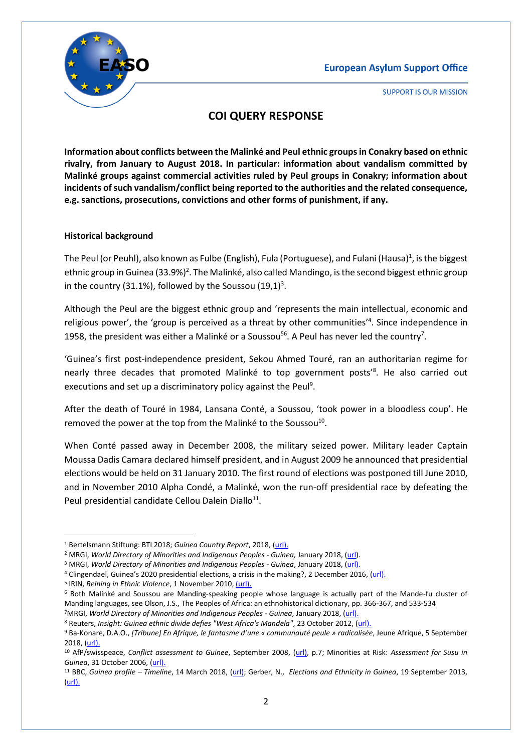

## **COI QUERY RESPONSE**

**Information about conflicts between the Malinké and Peul ethnic groups in Conakry based on ethnic rivalry, from January to August 2018. In particular: information about vandalism committed by Malinké groups against commercial activities ruled by Peul groups in Conakry; information about incidents of such vandalism/conflict being reported to the authorities and the related consequence, e.g. sanctions, prosecutions, convictions and other forms of punishment, if any.**

#### **Historical background**

The Peul (or Peuhl), also known as Fulbe (English), Fula (Portuguese), and Fulani (Hausa)<sup>1</sup>, is the biggest ethnic group in Guinea (33.9%)<sup>2</sup>. The Malinké, also called Mandingo, is the second biggest ethnic group in the country (31.1%), followed by the Soussou  $(19,1)^3$ .

Although the Peul are the biggest ethnic group and 'represents the main intellectual, economic and religious power', the 'group is perceived as a threat by other communities<sup>'4</sup>. Since independence in 1958, the president was either a Malinké or a Soussou<sup>56</sup>. A Peul has never led the country<sup>7</sup>.

'Guinea's first post-independence president, Sekou Ahmed Touré, ran an authoritarian regime for nearly three decades that promoted Malinké to top government posts<sup>'8</sup>. He also carried out executions and set up a discriminatory policy against the Peul<sup>9</sup>.

After the death of Touré in 1984, Lansana Conté, a Soussou, 'took power in a bloodless coup'. He removed the power at the top from the Malinké to the Soussou<sup>10</sup>.

When Conté passed away in December 2008, the military seized power. Military leader Captain Moussa Dadis Camara declared himself president, and in August 2009 he announced that presidential elections would be held on 31 January 2010. The first round of elections was postponed till June 2010, and in November 2010 Alpha Condé, a Malinké, won the run-off presidential race by defeating the Peul presidential candidate Cellou Dalein Diallo<sup>11</sup>.

1

<sup>1</sup> Bertelsmann Stiftung: BTI 2018; *Guinea Country Report*, 2018, [\(url\)](https://www.bti-project.org/en/reports/country-reports/detail/itc/gin/ity/2018/itr/wca/).

<sup>2</sup> MRGI, *World Directory of Minorities and Indigenous Peoples - Guinea,* January 2018, [\(url\)](https://minorityrights.org/country/guinea/).

<sup>&</sup>lt;sup>3</sup> MRGI, World Directory of Minorities and Indigenous Peoples - Guinea, January 2018, [\(url\)](https://minorityrights.org/country/guinea/).

<sup>&</sup>lt;sup>4</sup> Clingendael, Guinea's 2020 presidential elections, a crisis in the making?, 2 December 2016, [\(url\)](https://www.clingendael.org/publication/guineas-2020-presidential-elections-crisis-making).

<sup>&</sup>lt;sup>5</sup> IRIN, Reining in Ethnic Violence, 1 November 2010, [\(url\).](http://www.irinnews.org/report/90940/guinea-reining-ethnic-violence)

<sup>6</sup> Both Malinké and Soussou are Manding-speaking people whose language is actually part of the Mande-fu cluster of Manding languages, see Olson, J.S., The Peoples of Africa: an ethnohistorical dictionary, pp. 366-367, and 533-534 <sup>7</sup>MRGI, *World Directory of Minorities and Indigenous Peoples - Guinea*, January 2018, [\(url\)](https://minorityrights.org/country/guinea/).

<sup>8</sup> Reuters, *Insight: Guinea ethnic divide defies "West Africa's Mandela"*, 23 October 2012, [\(url\)](https://www.reuters.com/article/us-guinea-conflict-ethnic-idUSBRE89M0Z820121023).

<sup>9</sup> Ba-Konare, D.A.O., *[Tribune] En Afrique, le fantasme d'une « communauté peule » radicalisée*, Jeune Afrique, 5 September 2018, [\(url\)](https://www.jeuneafrique.com/624747/societe/tribune-en-afrique-le-fantasme-dune-communaute-peule-radicalisee/).

<sup>10</sup> AfP/swisspeace, *Conflict assessment to Guinee*, September 2008, [\(url\)](http://www.swisspeace.ch/fileadmin/user_upload/pdf/BEFORE/BEFORE_Guinea_Conflict_Assessment_FINAL.pdf), p.7; Minorities at Risk: *Assessment for Susu in Guinea*, 31 October 2006, [\(url\)](http://www.mar.umd.edu/assessment.asp?groupId=43803).

<sup>11</sup> BBC, *Guinea profile – Timeline*, 14 March 2018, [\(url\)](https://www.bbc.com/news/world-africa-13443183); Gerber, N., *Elections and Ethnicity in Guinea*, 19 September 2013, [\(url\)](https://africasacountry.com/2013/09/elections-and-ethnicity-in-guinea/).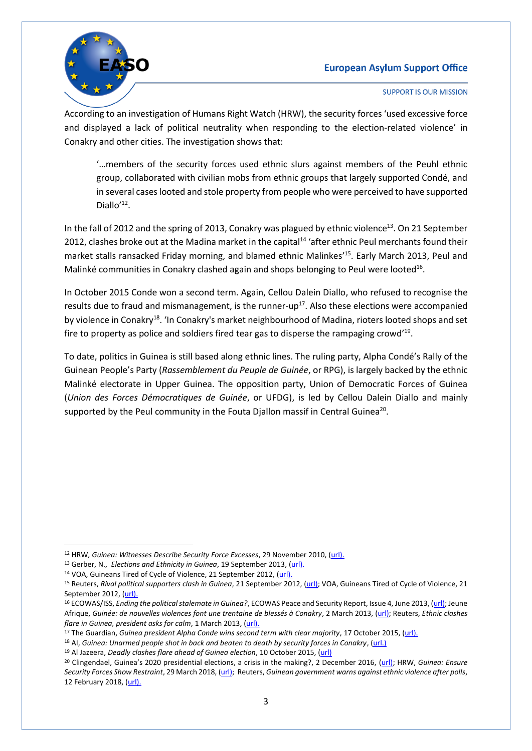#### **European Asylum Support Office**



**SUPPORT IS OUR MISSION** 

According to an investigation of Humans Right Watch (HRW), the security forces 'used excessive force and displayed a lack of political neutrality when responding to the election-related violence' in Conakry and other cities. The investigation shows that:

'…members of the security forces used ethnic slurs against members of the Peuhl ethnic group, collaborated with civilian mobs from ethnic groups that largely supported Condé, and in several cases looted and stole property from people who were perceived to have supported Diallo'<sup>12</sup>.

In the fall of 2012 and the spring of 2013, Conakry was plagued by ethnic violence<sup>13</sup>. On 21 September 2012, clashes broke out at the Madina market in the capital<sup>14</sup> 'after ethnic Peul merchants found their market stalls ransacked Friday morning, and blamed ethnic Malinkes' 15 . Early March 2013, Peul and Malinké communities in Conakry clashed again and shops belonging to Peul were looted<sup>16</sup>.

In October 2015 Conde won a second term. Again, Cellou Dalein Diallo, who refused to recognise the results due to fraud and mismanagement, is the runner-up<sup>17</sup>. Also these elections were accompanied by violence in Conakry<sup>18</sup>. 'In Conakry's market neighbourhood of Madina, rioters looted shops and set fire to property as police and soldiers fired tear gas to disperse the rampaging crowd'<sup>19</sup>.

To date, politics in Guinea is still based along ethnic lines. The ruling party, Alpha Condé's Rally of the Guinean People's Party (*Rassemblement du Peuple de Guinée*, or RPG), is largely backed by the ethnic Malinké electorate in Upper Guinea. The opposition party, Union of Democratic Forces of Guinea (*Union des Forces Démocratiques de Guinée*, or UFDG), is led by Cellou Dalein Diallo and mainly supported by the Peul community in the Fouta Djallon massif in Central Guinea<sup>20</sup>.

1

<sup>12</sup> HRW*, Guinea: Witnesses Describe Security Force Excesses*, 29 November 2010, [\(url\)](https://www.hrw.org/news/2010/11/29/guinea-witnesses-describe-security-force-excesses).

<sup>13</sup> Gerber, N., *Elections and Ethnicity in Guinea*, 19 September 2013, [\(url\)](https://africasacountry.com/2013/09/elections-and-ethnicity-in-guinea/).

<sup>14</sup> VOA, Guineans Tired of Cycle of Violence, 21 September 2012, [\(url\)](https://www.voanews.com/a/guineans-tired-of-cycle-of-violence/1514919.html).

<sup>15</sup> Reuters, *Rival political supporters clash in Guinea*, 21 September 2012, [\(url\)](https://af.reuters.com/article/commoditiesNews/idAFL5E8KLH9S20120921); VOA, Guineans Tired of Cycle of Violence, 21 September 2012, [\(url\)](https://www.voanews.com/a/guineans-tired-of-cycle-of-violence/1514919.html).

<sup>16</sup> ECOWAS/ISS, *Ending the political stalemate in Guinea?*, ECOWAS Peace and Security Report, Issue 4, June 2013, [\(url\);](https://www.files.ethz.ch/isn/168996/ECOWASReport4ENGJun2013.pdf) Jeune Afrique, *Guinée: de nouvelles violences font une trentaine de blessés à Conakry*, 2 March 2013, [\(url\)](https://www.jeuneafrique.com/150508/politique/guin-e-de-nouvelles-violences-font-une-trentaine-de-bless-s-conakry/); Reuters, *Ethnic clashes flare in Guinea, president asks for calm*, 1 March 2013, [\(url\)](https://www.reuters.com/article/us-guinea-protests-idUSBRE9200PP20130301).

<sup>&</sup>lt;sup>17</sup> The Guardian, *Guinea president Alpha Conde wins second term with clear majority*, 17 October 2015, [\(url\)](https://www.theguardian.com/world/2015/oct/17/guinea-president-alpha-conde-election).

<sup>18</sup> AI, *Guinea: Unarmed people shot in back and beaten to death by security forces in Conakry*, [\(url.\)](https://www.amnesty.org/en/latest/news/2015/10/guineaunarmedpeopleshotinbackandbeatentodeathbysecurityforcesinconakry/)

<sup>19</sup> Al Jazeera, *Deadly clashes flare ahead of Guinea election*, 10 October 2015, [\(url\)](https://www.aljazeera.com/indepth/features/2015/10/deadly-clashes-flare-guinea-election-151010132336700.html)

<sup>20</sup> Clingendael, Guinea's 2020 presidential elections, a crisis in the making?, 2 December 2016, [\(url\)](https://www.clingendael.org/publication/guineas-2020-presidential-elections-crisis-making); HRW, *Guinea: Ensure Security Forces Show Restraint*, 29 March 2018, [\(url\);](https://www.hrw.org/news/2018/03/29/guinea-ensure-security-forces-show-restraint) Reuters, *Guinean government warns against ethnic violence after polls*, 12 February 2018, [\(url\)](https://www.reuters.com/article/us-guinea-politics/guinean-government-warns-against-ethnic-violence-after-polls-idUSKBN1FW28O).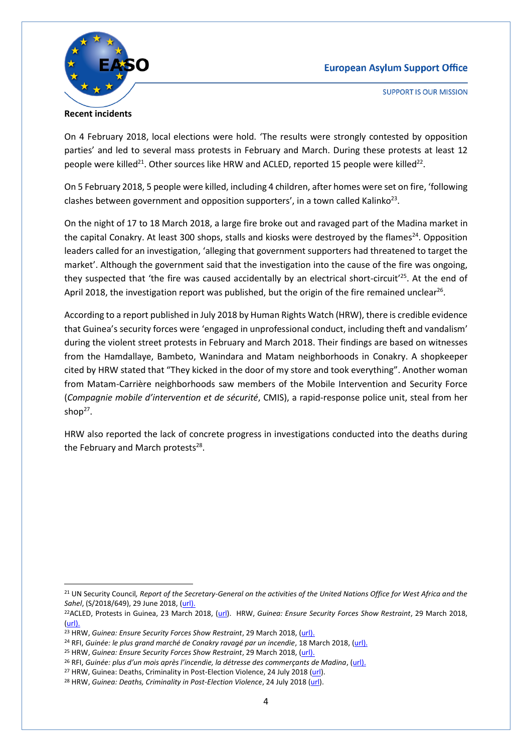#### **European Asylum Support Office**



**Recent incidents**

**SUPPORT IS OUR MISSION** 

On 4 February 2018, local elections were hold. 'The results were strongly contested by opposition parties' and led to several mass protests in February and March. During these protests at least 12 people were killed<sup>21</sup>. Other sources like HRW and ACLED, reported 15 people were killed<sup>22</sup>.

On 5 February 2018, 5 people were killed, including 4 children, after homes were set on fire, 'following clashes between government and opposition supporters', in a town called Kalinko<sup>23</sup>.

On the night of 17 to 18 March 2018, a large fire broke out and ravaged part of the Madina market in the capital Conakry. At least 300 shops, stalls and kiosks were destroyed by the flames<sup>24</sup>. Opposition leaders called for an investigation, 'alleging that government supporters had threatened to target the market'. Although the government said that the investigation into the cause of the fire was ongoing, they suspected that 'the fire was caused accidentally by an electrical short-circuit<sup>'25</sup>. At the end of April 2018, the investigation report was published, but the origin of the fire remained unclear<sup>26</sup>.

According to a report published in July 2018 by Human Rights Watch (HRW), there is credible evidence that Guinea's security forces were 'engaged in unprofessional conduct, including theft and vandalism' during the violent street protests in February and March 2018. Their findings are based on witnesses from the Hamdallaye, Bambeto, Wanindara and Matam neighborhoods in Conakry. A shopkeeper cited by HRW stated that "They kicked in the door of my store and took everything". Another woman from Matam-Carrière neighborhoods saw members of the Mobile Intervention and Security Force (*Compagnie mobile d'intervention et de sécurité*, CMIS), a rapid-response police unit, steal from her shop $27$ .

HRW also reported the lack of concrete progress in investigations conducted into the deaths during the February and March protests<sup>28</sup>.

 $\overline{a}$ <sup>21</sup> UN Security Council*, Report of the Secretary-General on the activities of the United Nations Office for West Africa and the Sahel*, (S/2018/649), 29 June 2018, [\(url\)](https://www.ecoi.net/en/file/local/1438086/1226_1531382798_n1817627.pdf).

<sup>22</sup>ACLED, Protests in Guinea, 23 March 2018, [\(url\)](https://www.acleddata.com/2018/03/23/protests-in-guinea/). HRW, *Guinea: Ensure Security Forces Show Restraint*, 29 March 2018, [\(url\)](https://www.hrw.org/news/2018/03/29/guinea-ensure-security-forces-show-restraint).

<sup>23</sup> HRW, *Guinea: Ensure Security Forces Show Restraint*, 29 March 2018, [\(url\)](https://www.hrw.org/news/2018/03/29/guinea-ensure-security-forces-show-restraint).

<sup>24</sup> RFI, *Guinée: le plus grand marché de Conakry ravagé par un incendie*, 18 March 2018, [\(url\)](http://www.rfi.fr/afrique/20180318-guinee-conakry-grand-marche-madina-incendie).

<sup>&</sup>lt;sup>25</sup> HRW, *Guinea: Ensure Security Forces Show Restraint*, 29 March 2018, [\(url\)](https://www.hrw.org/news/2018/03/29/guinea-ensure-security-forces-show-restraint).

<sup>&</sup>lt;sup>26</sup> RFI, Guinée: plus d'un mois après l'incendie, la détresse des commerçants de Madina, [\(url\)](http://www.rfi.fr/afrique/20180429-guinee-marche-madina-detresse-commercants-incendie-solidarite).

<sup>&</sup>lt;sup>27</sup> HRW, Guinea: Deaths, Criminality in Post-Election Violence, 24 July 2018 [\(url\)](https://www.hrw.org/news/2018/07/24/guinea-deaths-criminality-post-election-violence).

<sup>&</sup>lt;sup>28</sup> HRW, *Guinea: Deaths, Criminality in Post-Election Violence*, 24 July 2018 [\(url\)](https://www.hrw.org/news/2018/07/24/guinea-deaths-criminality-post-election-violence).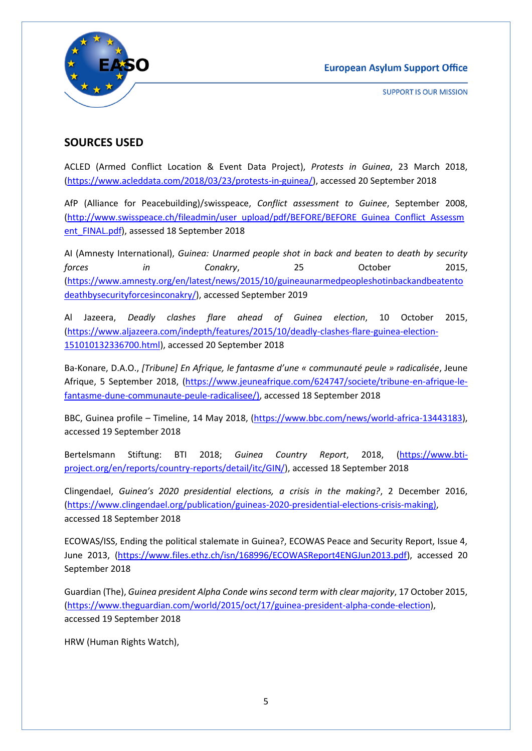



### **SOURCES USED**

ACLED (Armed Conflict Location & Event Data Project), *Protests in Guinea*, 23 March 2018, [\(https://www.acleddata.com/2018/03/23/protests-in-guinea/\)](https://www.acleddata.com/2018/03/23/protests-in-guinea/), accessed 20 September 2018

AfP (Alliance for Peacebuilding)/swisspeace, *Conflict assessment to Guinee*, September 2008, [\(http://www.swisspeace.ch/fileadmin/user\\_upload/pdf/BEFORE/BEFORE\\_Guinea\\_Conflict\\_Assessm](http://www.swisspeace.ch/fileadmin/user_upload/pdf/BEFORE/BEFORE_Guinea_Conflict_Assessment_FINAL.pdf) [ent\\_FINAL.pdf\)](http://www.swisspeace.ch/fileadmin/user_upload/pdf/BEFORE/BEFORE_Guinea_Conflict_Assessment_FINAL.pdf), assessed 18 September 2018

AI (Amnesty International), *Guinea: Unarmed people shot in back and beaten to death by security forces in Conakry*, 25 October 2015, [\(https://www.amnesty.org/en/latest/news/2015/10/guineaunarmedpeopleshotinbackandbeatento](https://www.amnesty.org/en/latest/news/2015/10/guineaunarmedpeopleshotinbackandbeatentodeathbysecurityforcesinconakry/) [deathbysecurityforcesinconakry/\)](https://www.amnesty.org/en/latest/news/2015/10/guineaunarmedpeopleshotinbackandbeatentodeathbysecurityforcesinconakry/), accessed September 2019

Al Jazeera, *Deadly clashes flare ahead of Guinea election*, 10 October 2015, [\(https://www.aljazeera.com/indepth/features/2015/10/deadly-clashes-flare-guinea-election-](https://www.aljazeera.com/indepth/features/2015/10/deadly-clashes-flare-guinea-election-151010132336700.html)[151010132336700.html\)](https://www.aljazeera.com/indepth/features/2015/10/deadly-clashes-flare-guinea-election-151010132336700.html), accessed 20 September 2018

Ba-Konare, D.A.O., *[Tribune] En Afrique, le fantasme d'une « communauté peule » radicalisée*, Jeune Afrique, 5 September 2018, [\(https://www.jeuneafrique.com/624747/societe/tribune-en-afrique-le](https://www.jeuneafrique.com/624747/societe/tribune-en-afrique-le-fantasme-dune-communaute-peule-radicalisee/)[fantasme-dune-communaute-peule-radicalisee/\)](https://www.jeuneafrique.com/624747/societe/tribune-en-afrique-le-fantasme-dune-communaute-peule-radicalisee/), accessed 18 September 2018

BBC, Guinea profile – Timeline, 14 May 2018, [\(https://www.bbc.com/news/world-africa-13443183\)](https://www.bbc.com/news/world-africa-13443183), accessed 19 September 2018

Bertelsmann Stiftung: BTI 2018; *Guinea Country Report*, 2018, [\(https://www.bti](https://www.bti-project.org/en/reports/country-reports/detail/itc/GIN/)[project.org/en/reports/country-reports/detail/itc/GIN/\)](https://www.bti-project.org/en/reports/country-reports/detail/itc/GIN/), accessed 18 September 2018

Clingendael, *Guinea's 2020 presidential elections, a crisis in the making?*, 2 December 2016, [\(https://www.clingendael.org/publication/guineas-2020-presidential-elections-crisis-making\)](https://www.clingendael.org/publication/guineas-2020-presidential-elections-crisis-making), accessed 18 September 2018

ECOWAS/ISS, Ending the political stalemate in Guinea?, ECOWAS Peace and Security Report, Issue 4, June 2013, [\(https://www.files.ethz.ch/isn/168996/ECOWASReport4ENGJun2013.pdf\)](https://www.files.ethz.ch/isn/168996/ECOWASReport4ENGJun2013.pdf), accessed 20 September 2018

Guardian (The), *Guinea president Alpha Conde wins second term with clear majority*, 17 October 2015, [\(https://www.theguardian.com/world/2015/oct/17/guinea-president-alpha-conde-election\)](https://www.theguardian.com/world/2015/oct/17/guinea-president-alpha-conde-election), accessed 19 September 2018

HRW (Human Rights Watch),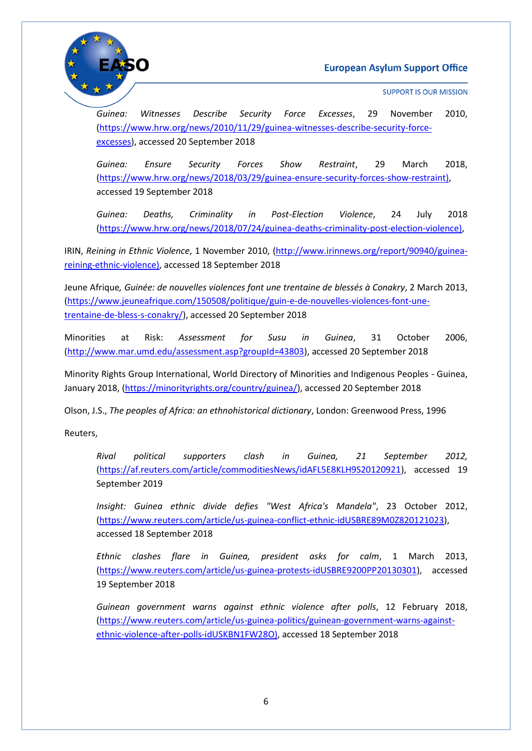



*Guinea: Witnesses Describe Security Force Excesses*, 29 November 2010, [\(https://www.hrw.org/news/2010/11/29/guinea-witnesses-describe-security-force](https://www.hrw.org/news/2010/11/29/guinea-witnesses-describe-security-force-excesses)[excesses\)](https://www.hrw.org/news/2010/11/29/guinea-witnesses-describe-security-force-excesses), accessed 20 September 2018

*Guinea: Ensure Security Forces Show Restraint*, 29 March 2018, [\(https://www.hrw.org/news/2018/03/29/guinea-ensure-security-forces-show-restraint\)](https://www.hrw.org/news/2018/03/29/guinea-ensure-security-forces-show-restraint), accessed 19 September 2018

*Guinea: Deaths, Criminality in Post-Election Violence*, 24 July 2018 [\(https://www.hrw.org/news/2018/07/24/guinea-deaths-criminality-post-election-violence\)](https://www.hrw.org/news/2018/07/24/guinea-deaths-criminality-post-election-violence),

IRIN, *Reining in Ethnic Violence*, 1 November 2010, [\(http://www.irinnews.org/report/90940/guinea](http://www.irinnews.org/report/90940/guinea-reining-ethnic-violence)[reining-ethnic-violence\)](http://www.irinnews.org/report/90940/guinea-reining-ethnic-violence), accessed 18 September 2018

Jeune Afrique*, Guinée: de nouvelles violences font une trentaine de blessés à Conakry*, 2 March 2013, [\(https://www.jeuneafrique.com/150508/politique/guin-e-de-nouvelles-violences-font-une](https://www.jeuneafrique.com/150508/politique/guin-e-de-nouvelles-violences-font-une-trentaine-de-bless-s-conakry/)[trentaine-de-bless-s-conakry/\)](https://www.jeuneafrique.com/150508/politique/guin-e-de-nouvelles-violences-font-une-trentaine-de-bless-s-conakry/), accessed 20 September 2018

Minorities at Risk: *Assessment for Susu in Guinea*, 31 October 2006, [\(http://www.mar.umd.edu/assessment.asp?groupId=43803\)](http://www.mar.umd.edu/assessment.asp?groupId=43803), accessed 20 September 2018

Minority Rights Group International, World Directory of Minorities and Indigenous Peoples - Guinea, January 2018, [\(https://minorityrights.org/country/guinea/\)](https://minorityrights.org/country/guinea/), accessed 20 September 2018

Olson, J.S., *The peoples of Africa: an ethnohistorical dictionary*, London: Greenwood Press, 1996

Reuters,

*Rival political supporters clash in Guinea, 21 September 2012,*  [\(https://af.reuters.com/article/commoditiesNews/idAFL5E8KLH9S20120921\)](https://af.reuters.com/article/commoditiesNews/idAFL5E8KLH9S20120921), accessed 19 September 2019

*Insight: Guinea ethnic divide defies "West Africa's Mandela"*, 23 October 2012, [\(https://www.reuters.com/article/us-guinea-conflict-ethnic-idUSBRE89M0Z820121023\)](https://www.reuters.com/article/us-guinea-conflict-ethnic-idUSBRE89M0Z820121023), accessed 18 September 2018

*Ethnic clashes flare in Guinea, president asks for calm*, 1 March 2013, [\(https://www.reuters.com/article/us-guinea-protests-idUSBRE9200PP20130301\)](https://www.reuters.com/article/us-guinea-protests-idUSBRE9200PP20130301), accessed 19 September 2018

*Guinean government warns against ethnic violence after polls*, 12 February 2018, [\(https://www.reuters.com/article/us-guinea-politics/guinean-government-warns-against](https://www.reuters.com/article/us-guinea-politics/guinean-government-warns-against-ethnic-violence-after-polls-idUSKBN1FW28O)[ethnic-violence-after-polls-idUSKBN1FW28O\)](https://www.reuters.com/article/us-guinea-politics/guinean-government-warns-against-ethnic-violence-after-polls-idUSKBN1FW28O), accessed 18 September 2018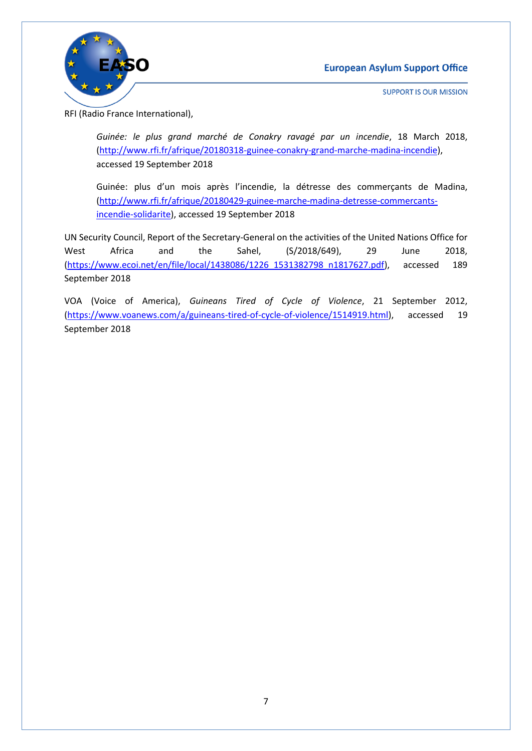



RFI (Radio France International),

*Guinée: le plus grand marché de Conakry ravagé par un incendie*, 18 March 2018, [\(http://www.rfi.fr/afrique/20180318-guinee-conakry-grand-marche-madina-incendie\)](http://www.rfi.fr/afrique/20180318-guinee-conakry-grand-marche-madina-incendie), accessed 19 September 2018

Guinée: plus d'un mois après l'incendie, la détresse des commerçants de Madina, [\(http://www.rfi.fr/afrique/20180429-guinee-marche-madina-detresse-commercants](http://www.rfi.fr/afrique/20180429-guinee-marche-madina-detresse-commercants-incendie-solidarite)[incendie-solidarite\)](http://www.rfi.fr/afrique/20180429-guinee-marche-madina-detresse-commercants-incendie-solidarite), accessed 19 September 2018

UN Security Council, Report of the Secretary-General on the activities of the United Nations Office for West Africa and the Sahel, (S/2018/649), 29 June 2018, [\(https://www.ecoi.net/en/file/local/1438086/1226\\_1531382798\\_n1817627.pdf\)](https://www.ecoi.net/en/file/local/1438086/1226_1531382798_n1817627.pdf), accessed 189 September 2018

VOA (Voice of America), *Guineans Tired of Cycle of Violence*, 21 September 2012, [\(https://www.voanews.com/a/guineans-tired-of-cycle-of-violence/1514919.html\)](https://www.voanews.com/a/guineans-tired-of-cycle-of-violence/1514919.html), accessed 19 September 2018